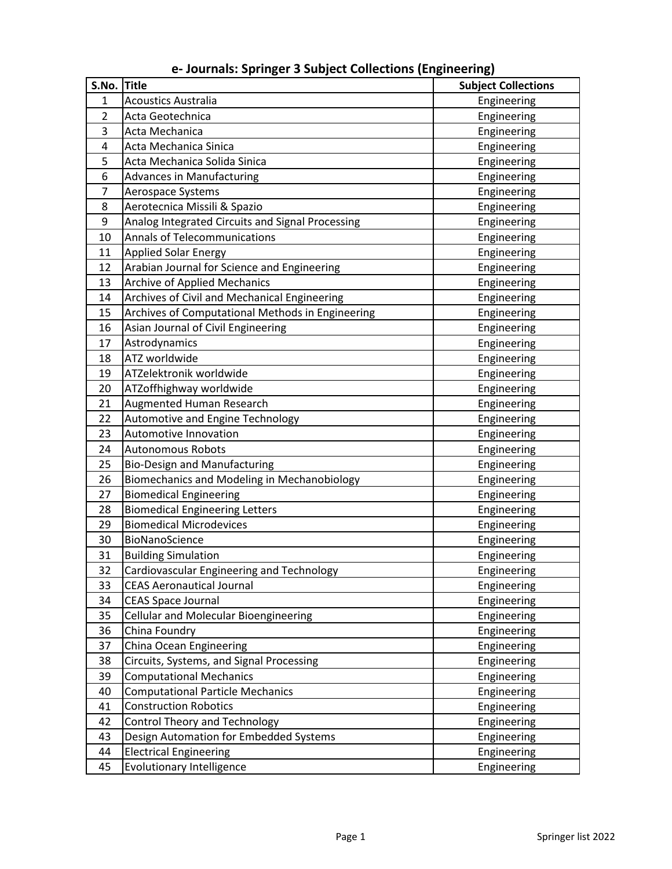| S.No.          | Title                                            | <b>Subject Collections</b> |
|----------------|--------------------------------------------------|----------------------------|
| 1              | <b>Acoustics Australia</b>                       | Engineering                |
| $\overline{2}$ | Acta Geotechnica                                 | Engineering                |
| 3              | Acta Mechanica                                   | Engineering                |
| 4              | Acta Mechanica Sinica                            | Engineering                |
| 5              | Acta Mechanica Solida Sinica                     | Engineering                |
| 6              | Advances in Manufacturing                        | Engineering                |
| 7              | Aerospace Systems                                | Engineering                |
| 8              | Aerotecnica Missili & Spazio                     | Engineering                |
| 9              | Analog Integrated Circuits and Signal Processing | Engineering                |
| 10             | <b>Annals of Telecommunications</b>              | Engineering                |
| 11             | <b>Applied Solar Energy</b>                      | Engineering                |
| 12             | Arabian Journal for Science and Engineering      | Engineering                |
| 13             | <b>Archive of Applied Mechanics</b>              | Engineering                |
| 14             | Archives of Civil and Mechanical Engineering     | Engineering                |
| 15             | Archives of Computational Methods in Engineering | Engineering                |
| 16             | Asian Journal of Civil Engineering               | Engineering                |
| 17             | Astrodynamics                                    | Engineering                |
| 18             | ATZ worldwide                                    | Engineering                |
| 19             | ATZelektronik worldwide                          | Engineering                |
| 20             | ATZoffhighway worldwide                          | Engineering                |
| 21             | Augmented Human Research                         | Engineering                |
| 22             | Automotive and Engine Technology                 | Engineering                |
| 23             | Automotive Innovation                            | Engineering                |
| 24             | <b>Autonomous Robots</b>                         | Engineering                |
| 25             | <b>Bio-Design and Manufacturing</b>              | Engineering                |
| 26             | Biomechanics and Modeling in Mechanobiology      | Engineering                |
| 27             | <b>Biomedical Engineering</b>                    | Engineering                |
| 28             | <b>Biomedical Engineering Letters</b>            | Engineering                |
| 29             | <b>Biomedical Microdevices</b>                   | Engineering                |
| 30             | BioNanoScience                                   | Engineering                |
| 31             | <b>Building Simulation</b>                       | Engineering                |
| 32             | <b>Cardiovascular Engineering and Technology</b> | Engineering                |
| 33             | <b>CEAS Aeronautical Journal</b>                 | Engineering                |
| 34             | <b>CEAS Space Journal</b>                        | Engineering                |
| 35             | Cellular and Molecular Bioengineering            | Engineering                |
| 36             | China Foundry                                    | Engineering                |
| 37             | China Ocean Engineering                          | Engineering                |
| 38             | Circuits, Systems, and Signal Processing         | Engineering                |
| 39             | <b>Computational Mechanics</b>                   | Engineering                |
| 40             | <b>Computational Particle Mechanics</b>          | Engineering                |
| 41             | <b>Construction Robotics</b>                     | Engineering                |
| 42             | <b>Control Theory and Technology</b>             | Engineering                |
| 43             | Design Automation for Embedded Systems           | Engineering                |
| 44             | <b>Electrical Engineering</b>                    | Engineering                |
| 45             | <b>Evolutionary Intelligence</b>                 | Engineering                |

## **e- Journals: Springer 3 Subject Collections (Engineering)**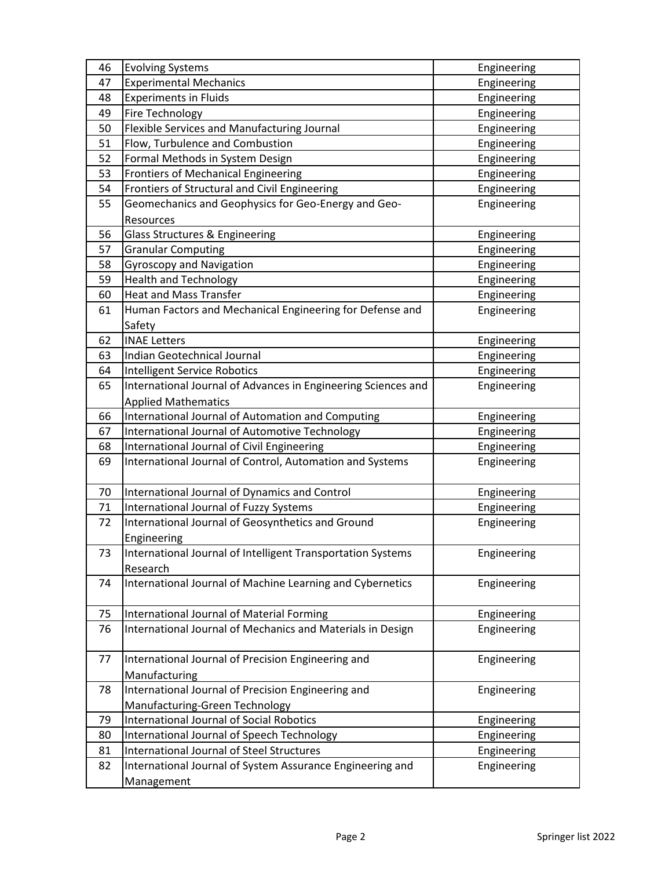| 46 | <b>Evolving Systems</b>                                       | Engineering |
|----|---------------------------------------------------------------|-------------|
| 47 | <b>Experimental Mechanics</b>                                 | Engineering |
| 48 | <b>Experiments in Fluids</b>                                  | Engineering |
| 49 | Fire Technology                                               | Engineering |
| 50 | Flexible Services and Manufacturing Journal                   | Engineering |
| 51 | Flow, Turbulence and Combustion                               | Engineering |
| 52 | Formal Methods in System Design                               | Engineering |
| 53 | Frontiers of Mechanical Engineering                           | Engineering |
| 54 | Frontiers of Structural and Civil Engineering                 | Engineering |
| 55 | Geomechanics and Geophysics for Geo-Energy and Geo-           | Engineering |
|    | Resources                                                     |             |
| 56 | Glass Structures & Engineering                                | Engineering |
| 57 | <b>Granular Computing</b>                                     | Engineering |
| 58 | <b>Gyroscopy and Navigation</b>                               | Engineering |
| 59 | <b>Health and Technology</b>                                  | Engineering |
| 60 | <b>Heat and Mass Transfer</b>                                 | Engineering |
| 61 | Human Factors and Mechanical Engineering for Defense and      | Engineering |
|    | Safety                                                        |             |
| 62 | <b>INAE Letters</b>                                           | Engineering |
| 63 | Indian Geotechnical Journal                                   | Engineering |
| 64 | Intelligent Service Robotics                                  | Engineering |
| 65 | International Journal of Advances in Engineering Sciences and | Engineering |
|    | <b>Applied Mathematics</b>                                    |             |
| 66 | International Journal of Automation and Computing             | Engineering |
| 67 | International Journal of Automotive Technology                | Engineering |
| 68 | International Journal of Civil Engineering                    | Engineering |
| 69 | International Journal of Control, Automation and Systems      | Engineering |
|    |                                                               |             |
| 70 | International Journal of Dynamics and Control                 | Engineering |
| 71 | International Journal of Fuzzy Systems                        | Engineering |
| 72 | International Journal of Geosynthetics and Ground             | Engineering |
|    | Engineering                                                   |             |
| 73 | International Journal of Intelligent Transportation Systems   | Engineering |
|    | Research                                                      |             |
| 74 | International Journal of Machine Learning and Cybernetics     | Engineering |
|    |                                                               |             |
| 75 | International Journal of Material Forming                     | Engineering |
| 76 | International Journal of Mechanics and Materials in Design    | Engineering |
|    |                                                               |             |
| 77 | International Journal of Precision Engineering and            | Engineering |
|    | Manufacturing                                                 |             |
| 78 | International Journal of Precision Engineering and            | Engineering |
|    | Manufacturing-Green Technology                                |             |
| 79 | <b>International Journal of Social Robotics</b>               | Engineering |
| 80 | International Journal of Speech Technology                    | Engineering |
| 81 | International Journal of Steel Structures                     | Engineering |
| 82 | International Journal of System Assurance Engineering and     | Engineering |
|    | Management                                                    |             |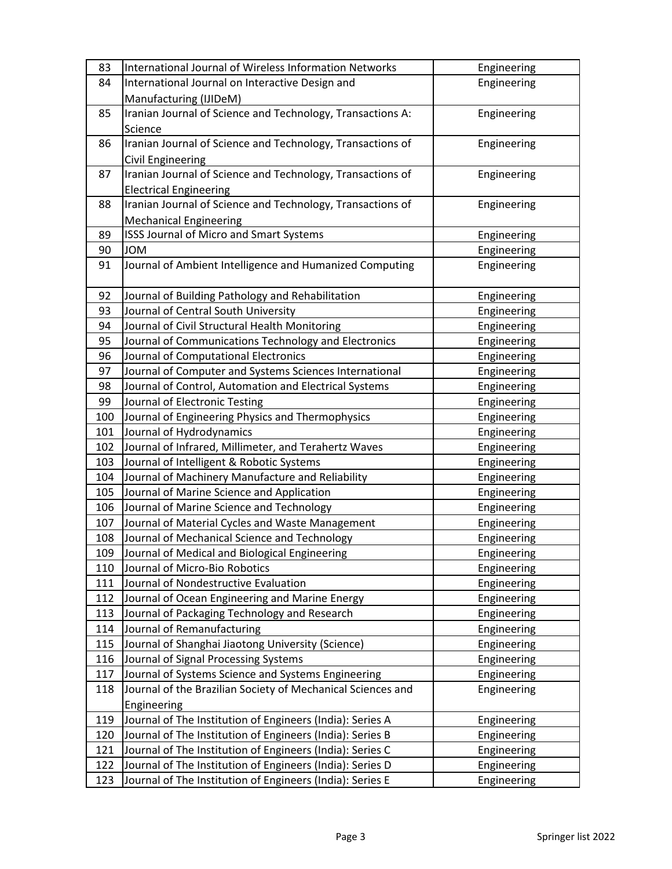| 83  | International Journal of Wireless Information Networks      | Engineering |
|-----|-------------------------------------------------------------|-------------|
| 84  | International Journal on Interactive Design and             | Engineering |
|     | Manufacturing (IJIDeM)                                      |             |
| 85  | Iranian Journal of Science and Technology, Transactions A:  | Engineering |
|     | Science                                                     |             |
| 86  | Iranian Journal of Science and Technology, Transactions of  | Engineering |
|     | <b>Civil Engineering</b>                                    |             |
| 87  | Iranian Journal of Science and Technology, Transactions of  | Engineering |
|     | <b>Electrical Engineering</b>                               |             |
| 88  | Iranian Journal of Science and Technology, Transactions of  | Engineering |
|     | <b>Mechanical Engineering</b>                               |             |
| 89  | ISSS Journal of Micro and Smart Systems                     | Engineering |
| 90  | <b>JOM</b>                                                  | Engineering |
| 91  | Journal of Ambient Intelligence and Humanized Computing     | Engineering |
|     |                                                             |             |
| 92  | Journal of Building Pathology and Rehabilitation            | Engineering |
| 93  | Journal of Central South University                         | Engineering |
| 94  | Journal of Civil Structural Health Monitoring               | Engineering |
| 95  | Journal of Communications Technology and Electronics        | Engineering |
| 96  | Journal of Computational Electronics                        | Engineering |
| 97  | Journal of Computer and Systems Sciences International      | Engineering |
| 98  | Journal of Control, Automation and Electrical Systems       | Engineering |
| 99  | Journal of Electronic Testing                               | Engineering |
| 100 | Journal of Engineering Physics and Thermophysics            | Engineering |
| 101 | Journal of Hydrodynamics                                    | Engineering |
| 102 | Journal of Infrared, Millimeter, and Terahertz Waves        | Engineering |
| 103 | Journal of Intelligent & Robotic Systems                    | Engineering |
| 104 | Journal of Machinery Manufacture and Reliability            | Engineering |
| 105 | Journal of Marine Science and Application                   | Engineering |
| 106 | Journal of Marine Science and Technology                    | Engineering |
| 107 | Journal of Material Cycles and Waste Management             | Engineering |
| 108 | Journal of Mechanical Science and Technology                | Engineering |
| 109 | Journal of Medical and Biological Engineering               | Engineering |
| 110 | Journal of Micro-Bio Robotics                               | Engineering |
| 111 | Journal of Nondestructive Evaluation                        | Engineering |
| 112 | Journal of Ocean Engineering and Marine Energy              | Engineering |
| 113 | Journal of Packaging Technology and Research                | Engineering |
| 114 | Journal of Remanufacturing                                  | Engineering |
| 115 | Journal of Shanghai Jiaotong University (Science)           | Engineering |
| 116 | Journal of Signal Processing Systems                        | Engineering |
| 117 | Journal of Systems Science and Systems Engineering          | Engineering |
| 118 | Journal of the Brazilian Society of Mechanical Sciences and | Engineering |
|     | Engineering                                                 |             |
| 119 | Journal of The Institution of Engineers (India): Series A   | Engineering |
| 120 | Journal of The Institution of Engineers (India): Series B   | Engineering |
| 121 | Journal of The Institution of Engineers (India): Series C   | Engineering |
| 122 | Journal of The Institution of Engineers (India): Series D   | Engineering |
| 123 | Journal of The Institution of Engineers (India): Series E   | Engineering |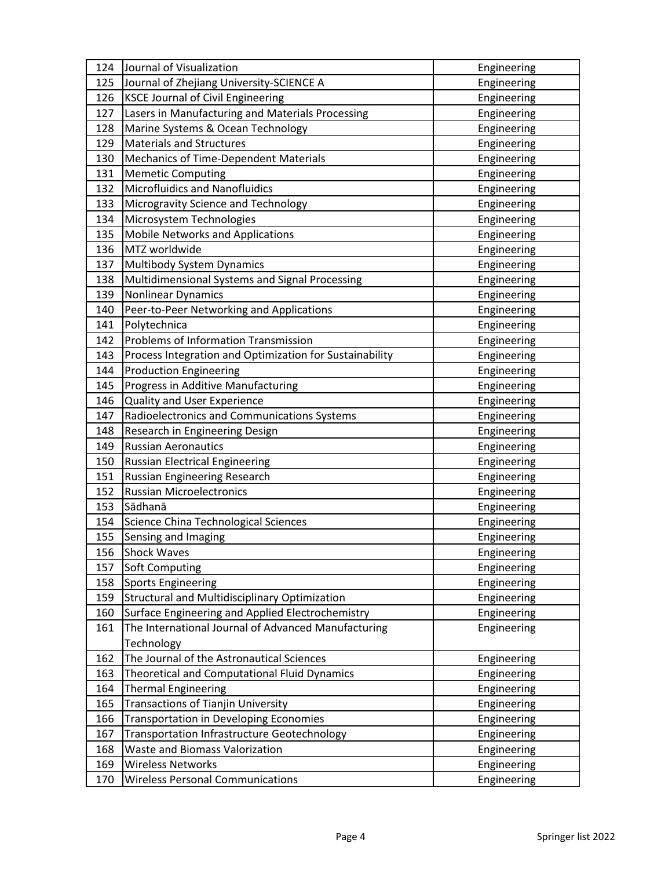| 124 | Journal of Visualization                                | Engineering |
|-----|---------------------------------------------------------|-------------|
| 125 | Journal of Zhejiang University-SCIENCE A                | Engineering |
| 126 | <b>KSCE Journal of Civil Engineering</b>                | Engineering |
| 127 | Lasers in Manufacturing and Materials Processing        | Engineering |
| 128 | Marine Systems & Ocean Technology                       | Engineering |
| 129 | <b>Materials and Structures</b>                         | Engineering |
| 130 | Mechanics of Time-Dependent Materials                   | Engineering |
| 131 | <b>Memetic Computing</b>                                | Engineering |
| 132 | Microfluidics and Nanofluidics                          | Engineering |
| 133 | Microgravity Science and Technology                     | Engineering |
| 134 | Microsystem Technologies                                | Engineering |
| 135 | <b>Mobile Networks and Applications</b>                 | Engineering |
| 136 | MTZ worldwide                                           | Engineering |
| 137 | <b>Multibody System Dynamics</b>                        | Engineering |
| 138 | Multidimensional Systems and Signal Processing          | Engineering |
| 139 | Nonlinear Dynamics                                      | Engineering |
| 140 | Peer-to-Peer Networking and Applications                | Engineering |
| 141 | Polytechnica                                            | Engineering |
| 142 | Problems of Information Transmission                    | Engineering |
| 143 | Process Integration and Optimization for Sustainability | Engineering |
| 144 | <b>Production Engineering</b>                           | Engineering |
| 145 | Progress in Additive Manufacturing                      | Engineering |
| 146 | Quality and User Experience                             | Engineering |
| 147 | Radioelectronics and Communications Systems             | Engineering |
| 148 | Research in Engineering Design                          | Engineering |
| 149 | <b>Russian Aeronautics</b>                              | Engineering |
| 150 | Russian Electrical Engineering                          | Engineering |
| 151 | Russian Engineering Research                            | Engineering |
| 152 | Russian Microelectronics                                | Engineering |
| 153 | Sādhanā                                                 | Engineering |
| 154 | Science China Technological Sciences                    | Engineering |
| 155 | Sensing and Imaging                                     | Engineering |
| 156 | <b>Shock Waves</b>                                      | Engineering |
| 157 | <b>Soft Computing</b>                                   | Engineering |
| 158 | <b>Sports Engineering</b>                               | Engineering |
| 159 | Structural and Multidisciplinary Optimization           | Engineering |
| 160 | Surface Engineering and Applied Electrochemistry        | Engineering |
| 161 | The International Journal of Advanced Manufacturing     | Engineering |
|     | Technology                                              |             |
| 162 | The Journal of the Astronautical Sciences               | Engineering |
| 163 | <b>Theoretical and Computational Fluid Dynamics</b>     | Engineering |
| 164 | <b>Thermal Engineering</b>                              | Engineering |
| 165 | <b>Transactions of Tianjin University</b>               | Engineering |
| 166 | <b>Transportation in Developing Economies</b>           | Engineering |
| 167 | <b>Transportation Infrastructure Geotechnology</b>      | Engineering |
| 168 | Waste and Biomass Valorization                          | Engineering |
| 169 | <b>Wireless Networks</b>                                | Engineering |
| 170 | <b>Wireless Personal Communications</b>                 | Engineering |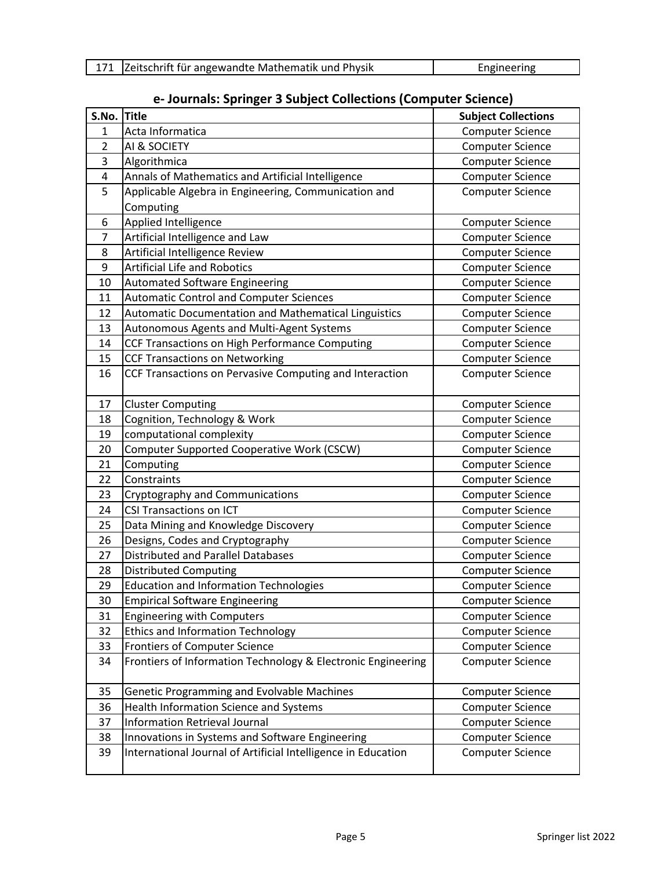|  | 171 Zeitschrift für angewandte Mathematik und Physik | Engineering |
|--|------------------------------------------------------|-------------|
|--|------------------------------------------------------|-------------|

| S.No.                   | - pg - - <b>,</b><br><b>Title</b>                             | <b>Subject Collections</b> |
|-------------------------|---------------------------------------------------------------|----------------------------|
| $\mathbf{1}$            | Acta Informatica                                              | <b>Computer Science</b>    |
| $\overline{2}$          | AI & SOCIETY                                                  | <b>Computer Science</b>    |
| 3                       | Algorithmica                                                  | <b>Computer Science</b>    |
| $\overline{\mathbf{4}}$ | Annals of Mathematics and Artificial Intelligence             | <b>Computer Science</b>    |
| 5                       | Applicable Algebra in Engineering, Communication and          | <b>Computer Science</b>    |
|                         | Computing                                                     |                            |
| 6                       | Applied Intelligence                                          | <b>Computer Science</b>    |
| 7                       | Artificial Intelligence and Law                               | <b>Computer Science</b>    |
| 8                       | Artificial Intelligence Review                                | <b>Computer Science</b>    |
| 9                       | <b>Artificial Life and Robotics</b>                           | <b>Computer Science</b>    |
| 10                      | <b>Automated Software Engineering</b>                         | <b>Computer Science</b>    |
| 11                      | <b>Automatic Control and Computer Sciences</b>                | <b>Computer Science</b>    |
| 12                      | Automatic Documentation and Mathematical Linguistics          | <b>Computer Science</b>    |
| 13                      | Autonomous Agents and Multi-Agent Systems                     | <b>Computer Science</b>    |
| 14                      | CCF Transactions on High Performance Computing                | <b>Computer Science</b>    |
| 15                      | <b>CCF Transactions on Networking</b>                         | <b>Computer Science</b>    |
| 16                      | CCF Transactions on Pervasive Computing and Interaction       | <b>Computer Science</b>    |
|                         |                                                               |                            |
| 17                      | <b>Cluster Computing</b>                                      | <b>Computer Science</b>    |
| 18                      | Cognition, Technology & Work                                  | <b>Computer Science</b>    |
| 19                      | computational complexity                                      | <b>Computer Science</b>    |
| 20                      | <b>Computer Supported Cooperative Work (CSCW)</b>             | <b>Computer Science</b>    |
| 21                      | Computing                                                     | <b>Computer Science</b>    |
| 22                      | Constraints                                                   | <b>Computer Science</b>    |
| 23                      | Cryptography and Communications                               | <b>Computer Science</b>    |
| 24                      | <b>CSI Transactions on ICT</b>                                | <b>Computer Science</b>    |
| 25                      | Data Mining and Knowledge Discovery                           | <b>Computer Science</b>    |
| 26                      | Designs, Codes and Cryptography                               | <b>Computer Science</b>    |
| 27                      | <b>Distributed and Parallel Databases</b>                     | <b>Computer Science</b>    |
| 28                      | <b>Distributed Computing</b>                                  | <b>Computer Science</b>    |
| 29                      | <b>Education and Information Technologies</b>                 | <b>Computer Science</b>    |
| 30                      | <b>Empirical Software Engineering</b>                         | <b>Computer Science</b>    |
| 31                      | <b>Engineering with Computers</b>                             | <b>Computer Science</b>    |
| 32                      | <b>Ethics and Information Technology</b>                      | <b>Computer Science</b>    |
| 33                      | <b>Frontiers of Computer Science</b>                          | <b>Computer Science</b>    |
| 34                      | Frontiers of Information Technology & Electronic Engineering  | <b>Computer Science</b>    |
|                         |                                                               |                            |
| 35                      | Genetic Programming and Evolvable Machines                    | <b>Computer Science</b>    |
| 36                      | Health Information Science and Systems                        | <b>Computer Science</b>    |
| 37                      | Information Retrieval Journal                                 | <b>Computer Science</b>    |
| 38                      | Innovations in Systems and Software Engineering               | Computer Science           |
| 39                      | International Journal of Artificial Intelligence in Education | Computer Science           |
|                         |                                                               |                            |

## **e- Journals: Springer 3 Subject Collections (Computer Science)**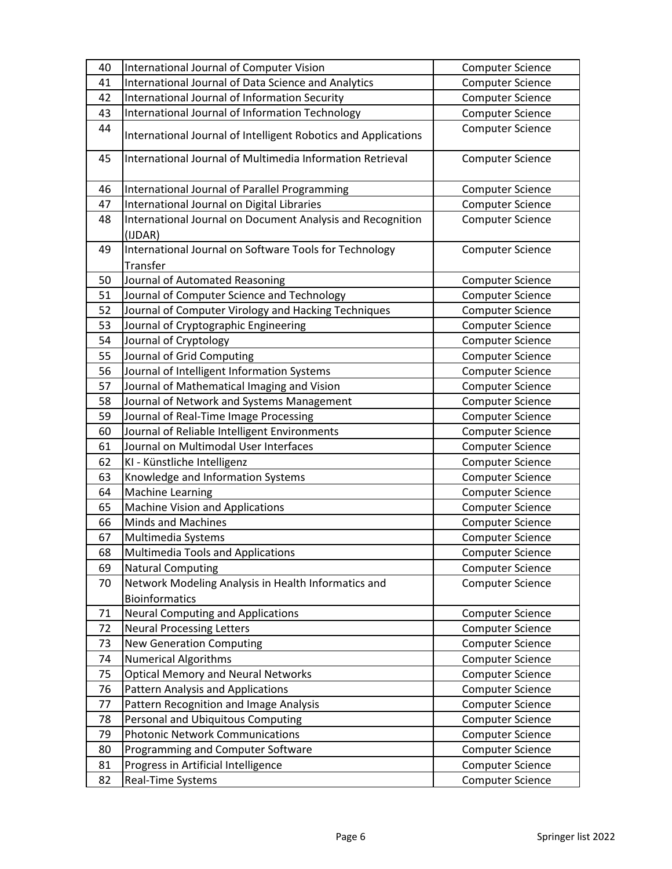| 40 | International Journal of Computer Vision                              | <b>Computer Science</b> |
|----|-----------------------------------------------------------------------|-------------------------|
| 41 | International Journal of Data Science and Analytics                   | <b>Computer Science</b> |
| 42 | International Journal of Information Security                         | <b>Computer Science</b> |
| 43 | International Journal of Information Technology                       | <b>Computer Science</b> |
| 44 | International Journal of Intelligent Robotics and Applications        | <b>Computer Science</b> |
| 45 | International Journal of Multimedia Information Retrieval             | <b>Computer Science</b> |
| 46 | International Journal of Parallel Programming                         | Computer Science        |
| 47 | International Journal on Digital Libraries                            | <b>Computer Science</b> |
| 48 | International Journal on Document Analysis and Recognition<br>(IJDAR) | <b>Computer Science</b> |
| 49 | International Journal on Software Tools for Technology<br>Transfer    | <b>Computer Science</b> |
| 50 | Journal of Automated Reasoning                                        | <b>Computer Science</b> |
| 51 | Journal of Computer Science and Technology                            | <b>Computer Science</b> |
| 52 | Journal of Computer Virology and Hacking Techniques                   | <b>Computer Science</b> |
| 53 | Journal of Cryptographic Engineering                                  | <b>Computer Science</b> |
| 54 | Journal of Cryptology                                                 | <b>Computer Science</b> |
| 55 | Journal of Grid Computing                                             | <b>Computer Science</b> |
| 56 | Journal of Intelligent Information Systems                            | Computer Science        |
| 57 | Journal of Mathematical Imaging and Vision                            | <b>Computer Science</b> |
| 58 | Journal of Network and Systems Management                             | <b>Computer Science</b> |
| 59 | Journal of Real-Time Image Processing                                 | <b>Computer Science</b> |
| 60 | Journal of Reliable Intelligent Environments                          | <b>Computer Science</b> |
| 61 | Journal on Multimodal User Interfaces                                 | <b>Computer Science</b> |
| 62 | KI - Künstliche Intelligenz                                           | <b>Computer Science</b> |
| 63 | Knowledge and Information Systems                                     | Computer Science        |
| 64 | <b>Machine Learning</b>                                               | <b>Computer Science</b> |
| 65 | <b>Machine Vision and Applications</b>                                | <b>Computer Science</b> |
| 66 | Minds and Machines                                                    | Computer Science        |
| 67 | Multimedia Systems                                                    | <b>Computer Science</b> |
| 68 | <b>Multimedia Tools and Applications</b>                              | <b>Computer Science</b> |
| 69 | <b>Natural Computing</b>                                              | <b>Computer Science</b> |
| 70 | Network Modeling Analysis in Health Informatics and                   | <b>Computer Science</b> |
|    | <b>Bioinformatics</b>                                                 |                         |
| 71 | <b>Neural Computing and Applications</b>                              | <b>Computer Science</b> |
| 72 | <b>Neural Processing Letters</b>                                      | <b>Computer Science</b> |
| 73 | <b>New Generation Computing</b>                                       | <b>Computer Science</b> |
| 74 | <b>Numerical Algorithms</b>                                           | <b>Computer Science</b> |
| 75 | <b>Optical Memory and Neural Networks</b>                             | <b>Computer Science</b> |
| 76 | <b>Pattern Analysis and Applications</b>                              | <b>Computer Science</b> |
| 77 | Pattern Recognition and Image Analysis                                | <b>Computer Science</b> |
| 78 | Personal and Ubiquitous Computing                                     | <b>Computer Science</b> |
| 79 | <b>Photonic Network Communications</b>                                | <b>Computer Science</b> |
| 80 | Programming and Computer Software                                     | <b>Computer Science</b> |
| 81 | Progress in Artificial Intelligence                                   | <b>Computer Science</b> |
| 82 | Real-Time Systems                                                     | <b>Computer Science</b> |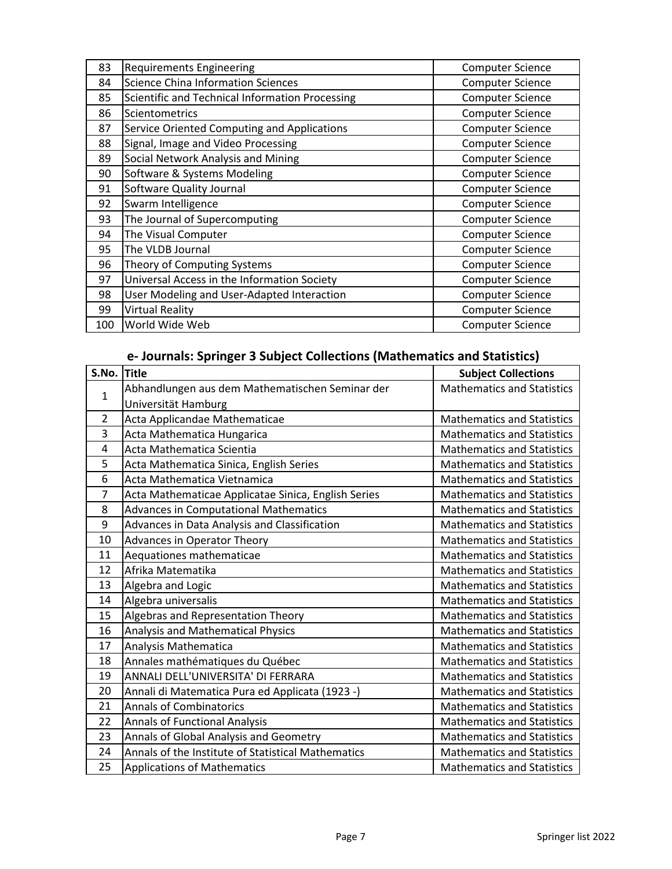| 83  | <b>Requirements Engineering</b>                 | <b>Computer Science</b> |
|-----|-------------------------------------------------|-------------------------|
| 84  | <b>Science China Information Sciences</b>       | Computer Science        |
| 85  | Scientific and Technical Information Processing | <b>Computer Science</b> |
| 86  | Scientometrics                                  | <b>Computer Science</b> |
| 87  | Service Oriented Computing and Applications     | <b>Computer Science</b> |
| 88  | Signal, Image and Video Processing              | <b>Computer Science</b> |
| 89  | Social Network Analysis and Mining              | <b>Computer Science</b> |
| 90  | Software & Systems Modeling                     | <b>Computer Science</b> |
| 91  | Software Quality Journal                        | <b>Computer Science</b> |
| 92  | Swarm Intelligence                              | <b>Computer Science</b> |
| 93  | The Journal of Supercomputing                   | <b>Computer Science</b> |
| 94  | The Visual Computer                             | <b>Computer Science</b> |
| 95  | The VLDB Journal                                | <b>Computer Science</b> |
| 96  | Theory of Computing Systems                     | <b>Computer Science</b> |
| 97  | Universal Access in the Information Society     | <b>Computer Science</b> |
| 98  | User Modeling and User-Adapted Interaction      | <b>Computer Science</b> |
| 99  | Virtual Reality                                 | <b>Computer Science</b> |
| 100 | World Wide Web                                  | <b>Computer Science</b> |

## **e- Journals: Springer 3 Subject Collections (Mathematics and Statistics)**

| S.No. Title    |                                                     | <b>Subject Collections</b>        |
|----------------|-----------------------------------------------------|-----------------------------------|
|                | Abhandlungen aus dem Mathematischen Seminar der     | <b>Mathematics and Statistics</b> |
| $\mathbf{1}$   | Universität Hamburg                                 |                                   |
| $\overline{2}$ | Acta Applicandae Mathematicae                       | <b>Mathematics and Statistics</b> |
| 3              | Acta Mathematica Hungarica                          | <b>Mathematics and Statistics</b> |
| 4              | Acta Mathematica Scientia                           | <b>Mathematics and Statistics</b> |
| 5              | Acta Mathematica Sinica, English Series             | <b>Mathematics and Statistics</b> |
| 6              | Acta Mathematica Vietnamica                         | <b>Mathematics and Statistics</b> |
| $\overline{7}$ | Acta Mathematicae Applicatae Sinica, English Series | <b>Mathematics and Statistics</b> |
| 8              | <b>Advances in Computational Mathematics</b>        | <b>Mathematics and Statistics</b> |
| 9              | Advances in Data Analysis and Classification        | <b>Mathematics and Statistics</b> |
| 10             | Advances in Operator Theory                         | <b>Mathematics and Statistics</b> |
| 11             | Aequationes mathematicae                            | <b>Mathematics and Statistics</b> |
| 12             | Afrika Matematika                                   | <b>Mathematics and Statistics</b> |
| 13             | Algebra and Logic                                   | <b>Mathematics and Statistics</b> |
| 14             | Algebra universalis                                 | <b>Mathematics and Statistics</b> |
| 15             | Algebras and Representation Theory                  | <b>Mathematics and Statistics</b> |
| 16             | Analysis and Mathematical Physics                   | <b>Mathematics and Statistics</b> |
| 17             | Analysis Mathematica                                | <b>Mathematics and Statistics</b> |
| 18             | Annales mathématiques du Québec                     | <b>Mathematics and Statistics</b> |
| 19             | ANNALI DELL'UNIVERSITA' DI FERRARA                  | <b>Mathematics and Statistics</b> |
| 20             | Annali di Matematica Pura ed Applicata (1923 -)     | <b>Mathematics and Statistics</b> |
| 21             | <b>Annals of Combinatorics</b>                      | <b>Mathematics and Statistics</b> |
| 22             | <b>Annals of Functional Analysis</b>                | <b>Mathematics and Statistics</b> |
| 23             | Annals of Global Analysis and Geometry              | <b>Mathematics and Statistics</b> |
| 24             | Annals of the Institute of Statistical Mathematics  | <b>Mathematics and Statistics</b> |
| 25             | <b>Applications of Mathematics</b>                  | <b>Mathematics and Statistics</b> |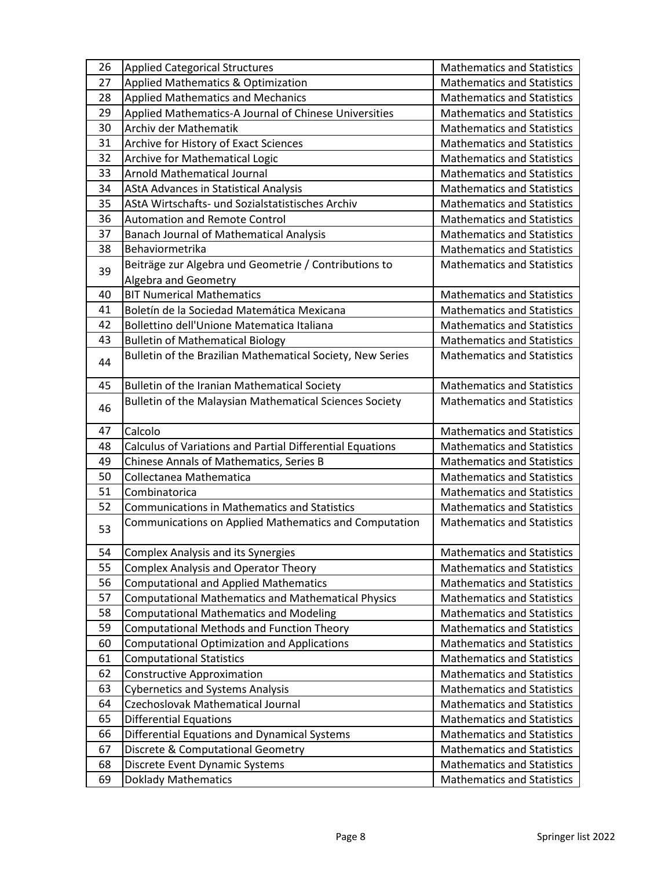| 26 | <b>Applied Categorical Structures</b>                      | <b>Mathematics and Statistics</b> |
|----|------------------------------------------------------------|-----------------------------------|
| 27 | Applied Mathematics & Optimization                         | <b>Mathematics and Statistics</b> |
| 28 | <b>Applied Mathematics and Mechanics</b>                   | <b>Mathematics and Statistics</b> |
| 29 | Applied Mathematics-A Journal of Chinese Universities      | <b>Mathematics and Statistics</b> |
| 30 | Archiv der Mathematik                                      | <b>Mathematics and Statistics</b> |
| 31 | Archive for History of Exact Sciences                      | <b>Mathematics and Statistics</b> |
| 32 | Archive for Mathematical Logic                             | <b>Mathematics and Statistics</b> |
| 33 | <b>Arnold Mathematical Journal</b>                         | <b>Mathematics and Statistics</b> |
| 34 | AStA Advances in Statistical Analysis                      | <b>Mathematics and Statistics</b> |
| 35 | AStA Wirtschafts- und Sozialstatistisches Archiv           | <b>Mathematics and Statistics</b> |
| 36 | <b>Automation and Remote Control</b>                       | <b>Mathematics and Statistics</b> |
| 37 | <b>Banach Journal of Mathematical Analysis</b>             | <b>Mathematics and Statistics</b> |
| 38 | Behaviormetrika                                            | <b>Mathematics and Statistics</b> |
| 39 | Beiträge zur Algebra und Geometrie / Contributions to      | <b>Mathematics and Statistics</b> |
|    | Algebra and Geometry                                       |                                   |
| 40 | <b>BIT Numerical Mathematics</b>                           | <b>Mathematics and Statistics</b> |
| 41 | Boletín de la Sociedad Matemática Mexicana                 | <b>Mathematics and Statistics</b> |
| 42 | Bollettino dell'Unione Matematica Italiana                 | <b>Mathematics and Statistics</b> |
| 43 | <b>Bulletin of Mathematical Biology</b>                    | <b>Mathematics and Statistics</b> |
| 44 | Bulletin of the Brazilian Mathematical Society, New Series | <b>Mathematics and Statistics</b> |
|    |                                                            |                                   |
| 45 | <b>Bulletin of the Iranian Mathematical Society</b>        | <b>Mathematics and Statistics</b> |
| 46 | Bulletin of the Malaysian Mathematical Sciences Society    | <b>Mathematics and Statistics</b> |
|    |                                                            |                                   |
|    |                                                            |                                   |
| 47 | Calcolo                                                    | <b>Mathematics and Statistics</b> |
| 48 | Calculus of Variations and Partial Differential Equations  | <b>Mathematics and Statistics</b> |
| 49 | Chinese Annals of Mathematics, Series B                    | <b>Mathematics and Statistics</b> |
| 50 | Collectanea Mathematica                                    | <b>Mathematics and Statistics</b> |
| 51 | Combinatorica                                              | <b>Mathematics and Statistics</b> |
| 52 | <b>Communications in Mathematics and Statistics</b>        | <b>Mathematics and Statistics</b> |
|    | Communications on Applied Mathematics and Computation      | <b>Mathematics and Statistics</b> |
| 53 |                                                            |                                   |
| 54 | Complex Analysis and its Synergies                         | <b>Mathematics and Statistics</b> |
| 55 | <b>Complex Analysis and Operator Theory</b>                | <b>Mathematics and Statistics</b> |
| 56 | <b>Computational and Applied Mathematics</b>               | <b>Mathematics and Statistics</b> |
| 57 | <b>Computational Mathematics and Mathematical Physics</b>  | <b>Mathematics and Statistics</b> |
| 58 | <b>Computational Mathematics and Modeling</b>              | <b>Mathematics and Statistics</b> |
| 59 | <b>Computational Methods and Function Theory</b>           | <b>Mathematics and Statistics</b> |
| 60 | <b>Computational Optimization and Applications</b>         | <b>Mathematics and Statistics</b> |
| 61 | <b>Computational Statistics</b>                            | <b>Mathematics and Statistics</b> |
| 62 | <b>Constructive Approximation</b>                          | <b>Mathematics and Statistics</b> |
| 63 | <b>Cybernetics and Systems Analysis</b>                    | <b>Mathematics and Statistics</b> |
| 64 | Czechoslovak Mathematical Journal                          | <b>Mathematics and Statistics</b> |
| 65 | <b>Differential Equations</b>                              | <b>Mathematics and Statistics</b> |
| 66 | Differential Equations and Dynamical Systems               | <b>Mathematics and Statistics</b> |
| 67 | Discrete & Computational Geometry                          | <b>Mathematics and Statistics</b> |
| 68 | Discrete Event Dynamic Systems                             | <b>Mathematics and Statistics</b> |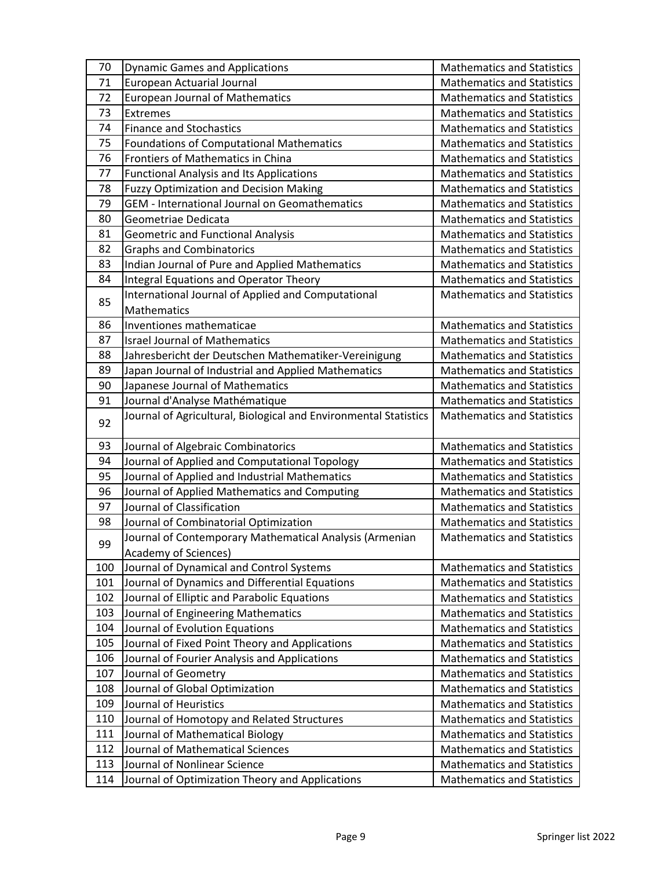| 70  | <b>Dynamic Games and Applications</b>                            | <b>Mathematics and Statistics</b> |
|-----|------------------------------------------------------------------|-----------------------------------|
| 71  | <b>European Actuarial Journal</b>                                | <b>Mathematics and Statistics</b> |
| 72  | <b>European Journal of Mathematics</b>                           | <b>Mathematics and Statistics</b> |
| 73  | Extremes                                                         | <b>Mathematics and Statistics</b> |
| 74  | <b>Finance and Stochastics</b>                                   | <b>Mathematics and Statistics</b> |
| 75  | Foundations of Computational Mathematics                         | <b>Mathematics and Statistics</b> |
| 76  | Frontiers of Mathematics in China                                | <b>Mathematics and Statistics</b> |
| 77  | <b>Functional Analysis and Its Applications</b>                  | <b>Mathematics and Statistics</b> |
| 78  | <b>Fuzzy Optimization and Decision Making</b>                    | <b>Mathematics and Statistics</b> |
| 79  | GEM - International Journal on Geomathematics                    | <b>Mathematics and Statistics</b> |
| 80  | Geometriae Dedicata                                              | <b>Mathematics and Statistics</b> |
| 81  | <b>Geometric and Functional Analysis</b>                         | <b>Mathematics and Statistics</b> |
| 82  | <b>Graphs and Combinatorics</b>                                  | <b>Mathematics and Statistics</b> |
| 83  | Indian Journal of Pure and Applied Mathematics                   | <b>Mathematics and Statistics</b> |
| 84  | <b>Integral Equations and Operator Theory</b>                    | <b>Mathematics and Statistics</b> |
| 85  | International Journal of Applied and Computational               | <b>Mathematics and Statistics</b> |
|     | Mathematics                                                      |                                   |
| 86  | Inventiones mathematicae                                         | <b>Mathematics and Statistics</b> |
| 87  | <b>Israel Journal of Mathematics</b>                             | <b>Mathematics and Statistics</b> |
| 88  | Jahresbericht der Deutschen Mathematiker-Vereinigung             | <b>Mathematics and Statistics</b> |
| 89  | Japan Journal of Industrial and Applied Mathematics              | <b>Mathematics and Statistics</b> |
| 90  | Japanese Journal of Mathematics                                  | <b>Mathematics and Statistics</b> |
| 91  | Journal d'Analyse Mathématique                                   | <b>Mathematics and Statistics</b> |
| 92  | Journal of Agricultural, Biological and Environmental Statistics | <b>Mathematics and Statistics</b> |
| 93  | Journal of Algebraic Combinatorics                               | <b>Mathematics and Statistics</b> |
| 94  | Journal of Applied and Computational Topology                    | <b>Mathematics and Statistics</b> |
| 95  | Journal of Applied and Industrial Mathematics                    | <b>Mathematics and Statistics</b> |
| 96  | Journal of Applied Mathematics and Computing                     | <b>Mathematics and Statistics</b> |
| 97  | Journal of Classification                                        | <b>Mathematics and Statistics</b> |
| 98  | Journal of Combinatorial Optimization                            | <b>Mathematics and Statistics</b> |
|     | Journal of Contemporary Mathematical Analysis (Armenian          | <b>Mathematics and Statistics</b> |
| 99  | Academy of Sciences)                                             |                                   |
| 100 | Journal of Dynamical and Control Systems                         | <b>Mathematics and Statistics</b> |
| 101 | Journal of Dynamics and Differential Equations                   | <b>Mathematics and Statistics</b> |
| 102 | Journal of Elliptic and Parabolic Equations                      | <b>Mathematics and Statistics</b> |
| 103 | Journal of Engineering Mathematics                               | <b>Mathematics and Statistics</b> |
| 104 | Journal of Evolution Equations                                   | <b>Mathematics and Statistics</b> |
| 105 | Journal of Fixed Point Theory and Applications                   | <b>Mathematics and Statistics</b> |
| 106 | Journal of Fourier Analysis and Applications                     | <b>Mathematics and Statistics</b> |
| 107 | Journal of Geometry                                              | <b>Mathematics and Statistics</b> |
| 108 | Journal of Global Optimization                                   | <b>Mathematics and Statistics</b> |
| 109 | Journal of Heuristics                                            | <b>Mathematics and Statistics</b> |
| 110 | Journal of Homotopy and Related Structures                       | <b>Mathematics and Statistics</b> |
| 111 | Journal of Mathematical Biology                                  | <b>Mathematics and Statistics</b> |
| 112 | Journal of Mathematical Sciences                                 | <b>Mathematics and Statistics</b> |
| 113 | Journal of Nonlinear Science                                     | <b>Mathematics and Statistics</b> |
| 114 | Journal of Optimization Theory and Applications                  | <b>Mathematics and Statistics</b> |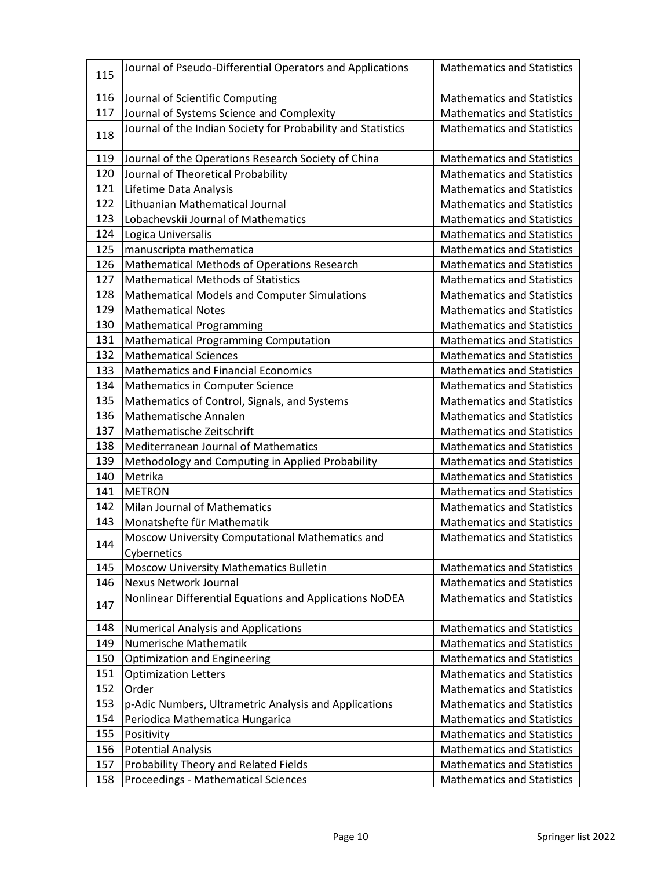| 115 | Journal of Pseudo-Differential Operators and Applications      | <b>Mathematics and Statistics</b> |
|-----|----------------------------------------------------------------|-----------------------------------|
| 116 | Journal of Scientific Computing                                | <b>Mathematics and Statistics</b> |
| 117 | Journal of Systems Science and Complexity                      | <b>Mathematics and Statistics</b> |
| 118 | Journal of the Indian Society for Probability and Statistics   | <b>Mathematics and Statistics</b> |
| 119 | Journal of the Operations Research Society of China            | <b>Mathematics and Statistics</b> |
| 120 | Journal of Theoretical Probability                             | <b>Mathematics and Statistics</b> |
| 121 | Lifetime Data Analysis                                         | <b>Mathematics and Statistics</b> |
| 122 | Lithuanian Mathematical Journal                                | <b>Mathematics and Statistics</b> |
| 123 | Lobachevskii Journal of Mathematics                            | <b>Mathematics and Statistics</b> |
| 124 | Logica Universalis                                             | <b>Mathematics and Statistics</b> |
| 125 | manuscripta mathematica                                        | <b>Mathematics and Statistics</b> |
| 126 | Mathematical Methods of Operations Research                    | <b>Mathematics and Statistics</b> |
| 127 | <b>Mathematical Methods of Statistics</b>                      | <b>Mathematics and Statistics</b> |
| 128 | <b>Mathematical Models and Computer Simulations</b>            | <b>Mathematics and Statistics</b> |
| 129 | <b>Mathematical Notes</b>                                      | <b>Mathematics and Statistics</b> |
| 130 | <b>Mathematical Programming</b>                                | <b>Mathematics and Statistics</b> |
| 131 | <b>Mathematical Programming Computation</b>                    | <b>Mathematics and Statistics</b> |
| 132 | <b>Mathematical Sciences</b>                                   | <b>Mathematics and Statistics</b> |
| 133 | <b>Mathematics and Financial Economics</b>                     | <b>Mathematics and Statistics</b> |
| 134 | Mathematics in Computer Science                                | <b>Mathematics and Statistics</b> |
| 135 | Mathematics of Control, Signals, and Systems                   | <b>Mathematics and Statistics</b> |
| 136 | Mathematische Annalen                                          | <b>Mathematics and Statistics</b> |
| 137 | Mathematische Zeitschrift                                      | <b>Mathematics and Statistics</b> |
| 138 | Mediterranean Journal of Mathematics                           | <b>Mathematics and Statistics</b> |
| 139 | Methodology and Computing in Applied Probability               | <b>Mathematics and Statistics</b> |
| 140 | Metrika                                                        | <b>Mathematics and Statistics</b> |
| 141 | <b>METRON</b>                                                  | <b>Mathematics and Statistics</b> |
| 142 | Milan Journal of Mathematics                                   | <b>Mathematics and Statistics</b> |
| 143 | Monatshefte für Mathematik                                     | <b>Mathematics and Statistics</b> |
| 144 | Moscow University Computational Mathematics and<br>Cybernetics | <b>Mathematics and Statistics</b> |
| 145 | <b>Moscow University Mathematics Bulletin</b>                  | <b>Mathematics and Statistics</b> |
| 146 | <b>Nexus Network Journal</b>                                   | <b>Mathematics and Statistics</b> |
| 147 | Nonlinear Differential Equations and Applications NoDEA        | <b>Mathematics and Statistics</b> |
| 148 | <b>Numerical Analysis and Applications</b>                     | <b>Mathematics and Statistics</b> |
| 149 | Numerische Mathematik                                          | <b>Mathematics and Statistics</b> |
| 150 | <b>Optimization and Engineering</b>                            | <b>Mathematics and Statistics</b> |
| 151 | <b>Optimization Letters</b>                                    | <b>Mathematics and Statistics</b> |
| 152 | Order                                                          | <b>Mathematics and Statistics</b> |
| 153 | p-Adic Numbers, Ultrametric Analysis and Applications          | <b>Mathematics and Statistics</b> |
| 154 | Periodica Mathematica Hungarica                                | <b>Mathematics and Statistics</b> |
| 155 | Positivity                                                     | <b>Mathematics and Statistics</b> |
| 156 | <b>Potential Analysis</b>                                      | <b>Mathematics and Statistics</b> |
| 157 | Probability Theory and Related Fields                          | <b>Mathematics and Statistics</b> |
| 158 | Proceedings - Mathematical Sciences                            | <b>Mathematics and Statistics</b> |